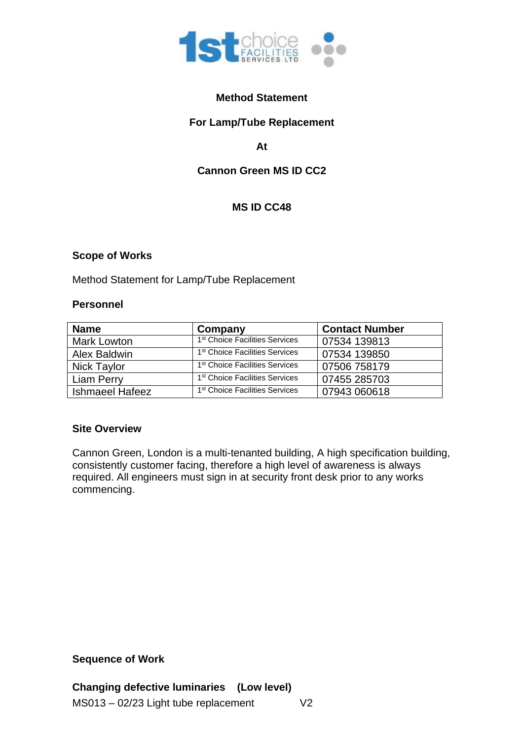

## **Method Statement**

## **For Lamp/Tube Replacement**

**At**

# **Cannon Green MS ID CC2**

# **MS ID CC48**

### **Scope of Works**

Method Statement for Lamp/Tube Replacement

#### **Personnel**

| <b>Name</b>            | Company                                    | <b>Contact Number</b> |
|------------------------|--------------------------------------------|-----------------------|
| <b>Mark Lowton</b>     | 1 <sup>st</sup> Choice Facilities Services | 07534 139813          |
| Alex Baldwin           | 1 <sup>st</sup> Choice Facilities Services | 07534 139850          |
| <b>Nick Taylor</b>     | 1 <sup>st</sup> Choice Facilities Services | 07506 758179          |
| Liam Perry             | 1 <sup>st</sup> Choice Facilities Services | 07455 285703          |
| <b>Ishmaeel Hafeez</b> | 1 <sup>st</sup> Choice Facilities Services | 07943 060618          |

### **Site Overview**

Cannon Green, London is a multi-tenanted building, A high specification building, consistently customer facing, therefore a high level of awareness is always required. All engineers must sign in at security front desk prior to any works commencing.

#### **Sequence of Work**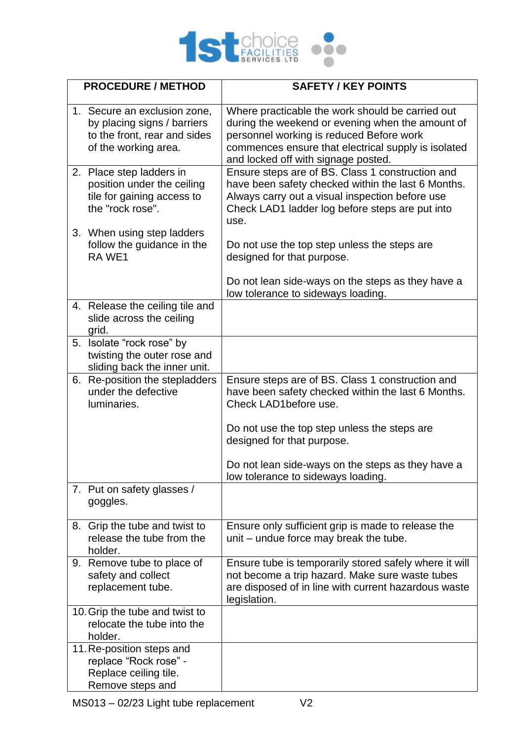

|    | <b>PROCEDURE / METHOD</b>                                                                                           | <b>SAFETY / KEY POINTS</b>                                                                                                                                                                                                                     |
|----|---------------------------------------------------------------------------------------------------------------------|------------------------------------------------------------------------------------------------------------------------------------------------------------------------------------------------------------------------------------------------|
|    | 1. Secure an exclusion zone,<br>by placing signs / barriers<br>to the front, rear and sides<br>of the working area. | Where practicable the work should be carried out<br>during the weekend or evening when the amount of<br>personnel working is reduced Before work<br>commences ensure that electrical supply is isolated<br>and locked off with signage posted. |
|    | 2. Place step ladders in<br>position under the ceiling<br>tile for gaining access to<br>the "rock rose".            | Ensure steps are of BS. Class 1 construction and<br>have been safety checked within the last 6 Months.<br>Always carry out a visual inspection before use<br>Check LAD1 ladder log before steps are put into<br>use.                           |
|    | 3. When using step ladders<br>follow the guidance in the<br>RA WE1                                                  | Do not use the top step unless the steps are<br>designed for that purpose.                                                                                                                                                                     |
|    |                                                                                                                     | Do not lean side-ways on the steps as they have a<br>low tolerance to sideways loading.                                                                                                                                                        |
|    | 4. Release the ceiling tile and<br>slide across the ceiling<br>grid.                                                |                                                                                                                                                                                                                                                |
|    | 5. Isolate "rock rose" by<br>twisting the outer rose and<br>sliding back the inner unit.                            |                                                                                                                                                                                                                                                |
| 6. | Re-position the stepladders<br>under the defective<br>luminaries.                                                   | Ensure steps are of BS. Class 1 construction and<br>have been safety checked within the last 6 Months.<br>Check LAD1before use.                                                                                                                |
|    |                                                                                                                     | Do not use the top step unless the steps are<br>designed for that purpose.                                                                                                                                                                     |
|    |                                                                                                                     | Do not lean side-ways on the steps as they have a<br>low tolerance to sideways loading.                                                                                                                                                        |
|    | 7. Put on safety glasses /<br>goggles.                                                                              |                                                                                                                                                                                                                                                |
|    | 8. Grip the tube and twist to<br>release the tube from the<br>holder.                                               | Ensure only sufficient grip is made to release the<br>unit – undue force may break the tube.                                                                                                                                                   |
|    | 9. Remove tube to place of<br>safety and collect<br>replacement tube.                                               | Ensure tube is temporarily stored safely where it will<br>not become a trip hazard. Make sure waste tubes<br>are disposed of in line with current hazardous waste<br>legislation.                                                              |
|    | 10. Grip the tube and twist to<br>relocate the tube into the<br>holder.                                             |                                                                                                                                                                                                                                                |
|    | 11. Re-position steps and<br>replace "Rock rose" -<br>Replace ceiling tile.<br>Remove steps and                     |                                                                                                                                                                                                                                                |